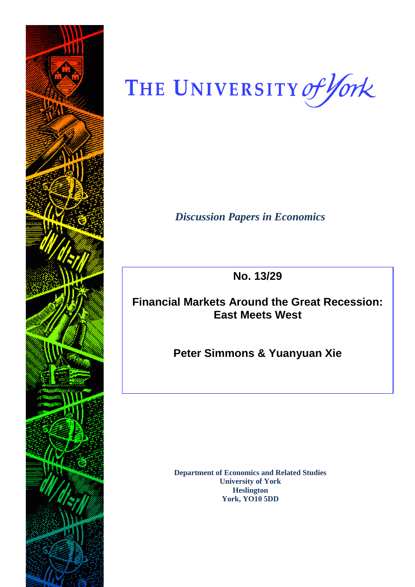

THE UNIVERSITY of York

*Discussion Papers in Economics*

**No. 13/29**

# **Financial Markets Around the Great Recession: East Meets West**

**Peter Simmons & Yuanyuan Xie**

**Department of Economics and Related Studies University of York Heslington York, YO10 5DD**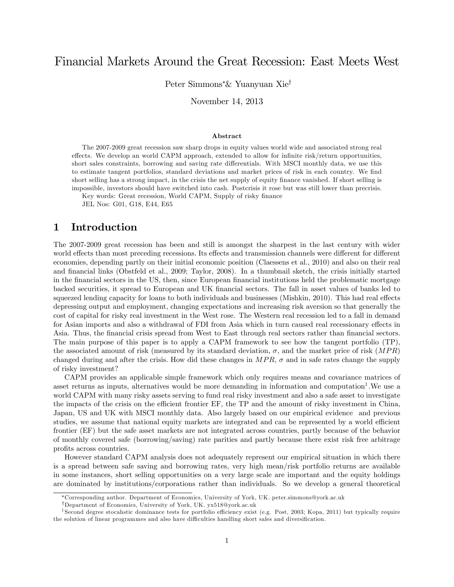# Financial Markets Around the Great Recession: East Meets West

Peter Simmons\*& Yuanyuan Xie<sup>†</sup>

November 14, 2013

#### Abstract

The 2007-2009 great recession saw sharp drops in equity values world wide and associated strong real effects. We develop an world CAPM approach, extended to allow for infinite risk/return opportunities, short sales constraints, borrowing and saving rate differentials. With MSCI monthly data, we use this to estimate tangent portfolios, standard deviations and market prices of risk in each country. We find short selling has a strong impact, in the crisis the net supply of equity finance vanished. If short selling is impossible, investors should have switched into cash. Postcrisis it rose but was still lower than precrisis.

Key words: Great recession, World CAPM, Supply of risky finance

JEL Nos: G01, G18, E44, E65

## 1 Introduction

The 2007-2009 great recession has been and still is amongst the sharpest in the last century with wider world effects than most preceding recessions. Its effects and transmission channels were different for different economies, depending partly on their initial economic position (Claessens et al., 2010) and also on their real and financial links (Obstfeld et al., 2009; Taylor, 2008). In a thumbnail sketch, the crisis initially started in the financial sectors in the US, then, since European financial institutions held the problematic mortgage backed securities, it spread to European and UK Önancial sectors. The fall in asset values of banks led to squeezed lending capacity for loans to both individuals and businesses (Mishkin, 2010). This had real effects depressing output and employment, changing expectations and increasing risk aversion so that generally the cost of capital for risky real investment in the West rose. The Western real recession led to a fall in demand for Asian imports and also a withdrawal of FDI from Asia which in turn caused real recessionary effects in Asia. Thus, the financial crisis spread from West to East through real sectors rather than financial sectors. The main purpose of this paper is to apply a CAPM framework to see how the tangent portfolio (TP), the associated amount of risk (measured by its standard deviation,  $\sigma$ , and the market price of risk  $(MPR)$ ) changed during and after the crisis. How did these changes in  $MPR$ ,  $\sigma$  and in safe rates change the supply of risky investment?

CAPM provides an applicable simple framework which only requires means and covariance matrices of asset returns as inputs, alternatives would be more demanding in information and computation<sup>1</sup>. We use a world CAPM with many risky assets serving to fund real risky investment and also a safe asset to investigate the impacts of the crisis on the efficient frontier EF, the TP and the amount of risky investment in China, Japan, US and UK with MSCI monthly data. Also largely based on our empirical evidence and previous studies, we assume that national equity markets are integrated and can be represented by a world efficient frontier (EF) but the safe asset markets are not integrated across countries, partly because of the behavior of monthly covered safe (borrowing/saving) rate parities and partly because there exist risk free arbitrage profits across countries.

However standard CAPM analysis does not adequately represent our empirical situation in which there is a spread between safe saving and borrowing rates, very high mean/risk portfolio returns are available in some instances, short selling opportunities on a very large scale are important and the equity holdings are dominated by institutions/corporations rather than individuals. So we develop a general theoretical

Corresponding author. Department of Economics, University of York, UK. peter.simmons@york.ac.uk

<sup>&</sup>lt;sup>†</sup>Department of Economics, University of York, UK. yx518@york.ac.uk

<sup>&</sup>lt;sup>1</sup> Second degree stocahstic dominance tests for portfolio efficiency exist (e.g. Post, 2003; Kopa, 2011) but typically require the solution of linear programmes and also have difficulties handling short sales and diversification.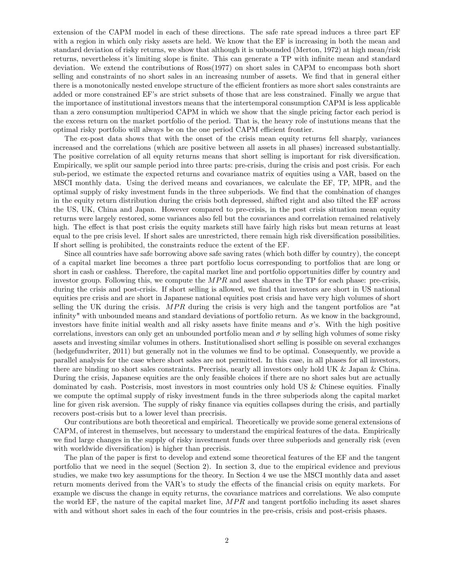extension of the CAPM model in each of these directions. The safe rate spread induces a three part EF with a region in which only risky assets are held. We know that the EF is increasing in both the mean and standard deviation of risky returns, we show that although it is unbounded (Merton, 1972) at high mean/risk returns, nevertheless it's limiting slope is finite. This can generate a TP with infinite mean and standard deviation. We extend the contributions of Ross(1977) on short sales in CAPM to encompass both short selling and constraints of no short sales in an increasing number of assets. We find that in general either there is a monotonically nested envelope structure of the efficient frontiers as more short sales constraints are added or more constrained EF's are strict subsets of those that are less constrained. Finally we argue that the importance of institutional investors means that the intertemporal consumption CAPM is less applicable than a zero consumption multiperiod CAPM in which we show that the single pricing factor each period is the excess return on the market portfolio of the period. That is, the heavy role of instutions means that the optimal risky portfolio will always be on the one period CAPM efficient frontier.

The ex-post data shows that with the onset of the crisis mean equity returns fell sharply, variances increased and the correlations (which are positive between all assets in all phases) increased substantially. The positive correlation of all equity returns means that short selling is important for risk diversification. Empirically, we split our sample period into three parts: pre-crisis, during the crisis and post crisis. For each sub-period, we estimate the expected returns and covariance matrix of equities using a VAR, based on the MSCI monthly data. Using the derived means and covariances, we calculate the EF, TP, MPR, and the optimal supply of risky investment funds in the three subperiods. We Önd that the combination of changes in the equity return distribution during the crisis both depressed, shifted right and also tilted the EF across the US, UK, China and Japan. However compared to pre-crisis, in the post crisis situation mean equity returns were largely restored, some variances also fell but the covariances and correlation remained relatively high. The effect is that post crisis the equity markets still have fairly high risks but mean returns at least equal to the pre crisis level. If short sales are unrestricted, there remain high risk diversification possibilities. If short selling is prohibited, the constraints reduce the extent of the EF.

Since all countries have safe borrowing above safe saving rates (which both differ by country), the concept of a capital market line becomes a three part portfolio locus corresponding to portfolios that are long or short in cash or cashless. Therefore, the capital market line and portfolio opportunities differ by country and investor group. Following this, we compute the  $MPR$  and asset shares in the TP for each phase: pre-crisis, during the crisis and post-crisis. If short selling is allowed, we find that investors are short in US national equities pre crisis and are short in Japanese national equities post crisis and have very high volumes of short selling the UK during the crisis.  $MPR$  during the crisis is very high and the tangent portfolios are "at infinity" with unbounded means and standard deviations of portfolio return. As we know in the background, investors have finite initial wealth and all risky assets have finite means and  $\sigma$ 's. With the high positive correlations, investors can only get an unbounded portfolio mean and  $\sigma$  by selling high volumes of some risky assets and investing similar volumes in others. Institutionalised short selling is possible on several exchanges (hedgefundwriter, 2011) but generally not in the volumes we Önd to be optimal. Consequently, we provide a parallel analysis for the case where short sales are not permitted. In this case, in all phases for all investors, there are binding no short sales constraints. Precrisis, nearly all investors only hold UK & Japan & China. During the crisis, Japanese equities are the only feasible choices if there are no short sales but are actually dominated by cash. Postcrisis, most investors in most countries only hold US & Chinese equities. Finally we compute the optimal supply of risky investment funds in the three subperiods along the capital market line for given risk aversion. The supply of risky finance via equities collapses during the crisis, and partially recovers post-crisis but to a lower level than precrisis.

Our contributions are both theoretical and empirical. Theoretically we provide some general extensions of CAPM, of interest in themselves, but necessary to understand the empirical features of the data. Empirically we find large changes in the supply of risky investment funds over three subperiods and generally risk (even with worldwide diversification) is higher than precrisis.

The plan of the paper is first to develop and extend some theoretical features of the EF and the tangent portfolio that we need in the sequel (Section 2). In section 3, due to the empirical evidence and previous studies, we make two key assumptions for the theory. In Section 4 we use the MSCI monthly data and asset return moments derived from the VAR's to study the effects of the financial crisis on equity markets. For example we discuss the change in equity returns, the covariance matrices and correlations. We also compute the world EF, the nature of the capital market line,  $MPR$  and tangent portfolio including its asset shares with and without short sales in each of the four countries in the pre-crisis, crisis and post-crisis phases.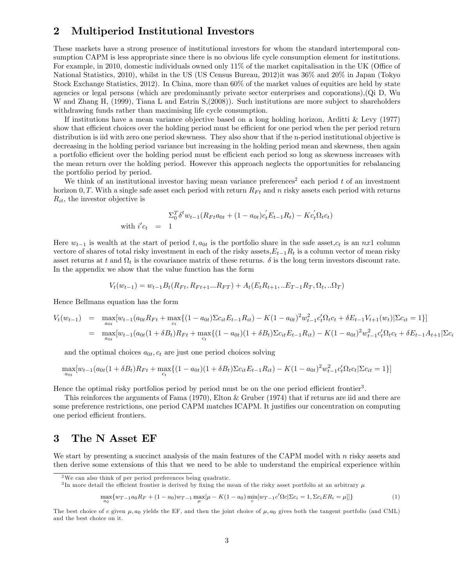# 2 Multiperiod Institutional Investors

These markets have a strong presence of institutional investors for whom the standard intertemporal consumption CAPM is less appropriate since there is no obvious life cycle consumption element for institutions. For example, in 2010, domestic individuals owned only  $11\%$  of the market capitalisation in the UK (Office of National Statistics, 2010), whilst in the US (US Census Bureau, 2012)it was 36% and 20% in Japan (Tokyo Stock Exchange Statistics, 2012). In China, more than 60% of the market values of equities are held by state agencies or legal persons (which are predominantly private sector enterprises and coporations),(Qi D, Wu W and Zhang H, (1999), Tiana L and Estrin S, (2008)). Such institutions are more subject to shareholders withdrawing funds rather than maximising life cycle consumption.

If institutions have a mean variance objective based on a long holding horizon, Arditti & Levy (1977) show that efficient choices over the holding period must be efficient for one period when the per period return distribution is iid with zero one period skewness. They also show that if the n-period institutional objective is decreasing in the holding period variance but increasing in the holding period mean and skewness, then again a portfolio efficient over the holding period must be efficient each period so long as skewness increases with the mean return over the holding period. However this approach neglects the opportunities for rebalancing the portfolio period by period.

We think of an institutional investor having mean variance preferences<sup>2</sup> each period  $t$  of an investment horizon 0, T. With a single safe asset each period with return  $R_{Ft}$  and n risky assets each period with returns  $R_{it}$ , the investor objective is

$$
\Sigma_0^T \delta^t w_{t-1} (R_{Ft} a_{0t} + (1 - a_{0t}) c_t' E_{t-1} R_t) - K c_t' \Omega_t c_t)
$$
  
with  $i' c_t = 1$ 

Here  $w_{t-1}$  is wealth at the start of period  $t, a_{0t}$  is the portfolio share in the safe asset,  $c_t$  is an nx1 column vectore of shares of total risky investment in each of the risky assets,  $E_{t-1}R_t$  is a column vector of mean risky asset returns at t and  $\Omega_t$  is the covariance matrix of these returns.  $\delta$  is the long term investors discount rate. In the appendix we show that the value function has the form

$$
V_t(w_{t-1}) = w_{t-1}B_t(R_{Ft}, R_{Ft+1}...R_{FT}) + A_t(E_t R_{t+1}, . . E_{T-1}R_T, \Omega_t, . . \Omega_T)
$$

Hence Bellmans equation has the form

 $\bar{v}$ 

$$
V_t(w_{t-1}) = \max_{a_{0t}} [w_{t-1}(a_{0t}R_{Ft} + \max_{c_t} \{(1 - a_{0t})\Sigma c_{it}E_{t-1}R_{it}) - K(1 - a_{0t})^2 w_{t-1}^2 c_t' \Omega_t c_t + \delta E_{t-1}V_{t+1}(w_t)|\Sigma c_{it} = 1\}]
$$
  
= 
$$
\max_{a_{0t}} [w_{t-1}(a_{0t}(1 + \delta B_t)R_{Ft} + \max_{c_t} \{(1 - a_{0t})(1 + \delta B_t)\Sigma c_{it}E_{t-1}R_{it}) - K(1 - a_{0t})^2 w_{t-1}^2 c_t' \Omega_t c_t + \delta E_{t-1}A_{t+1}|\Sigma c_t - \delta E_{t-1}R_{it})\}]
$$

and the optimal choices  $a_{0t}$ ,  $c_t$  are just one period choices solving

$$
\max_{a_{0t}}[w_{t-1}(a_{0t}(1+\delta B_t)R_{Ft} + \max_{c_t}\{(1-a_{0t})(1+\delta B_t)\Sigma c_{it}E_{t-1}R_{it}) - K(1-a_{0t})^2w_{t-1}^2c_t'\Omega_t c_t|\Sigma c_{it} = 1\}]
$$

Hence the optimal risky portfolios period by period must be on the one period efficient frontier<sup>3</sup>.

This reinforces the arguments of Fama (1970), Elton & Gruber (1974) that if returns are iid and there are some preference restrictions, one period CAPM matches ICAPM. It justifies our concentration on computing one period efficient frontiers.

### 3 The N Asset EF

We start by presenting a succinct analysis of the main features of the CAPM model with  $n$  risky assets and then derive some extensions of this that we need to be able to understand the empirical experience within

<sup>3</sup>In more detail the efficient frontier is derived by fixing the mean of the risky asset portfolio at an arbitrary  $\mu$ 

$$
\max_{a_0} \{ w_{T-1}a_0R_F + (1 - a_0)w_{T-1} \max_{\mu} [\mu - K(1 - a_0) \min_c [w_{T-1}c'\Omega_c]\Sigma c_i = 1, \Sigma c_i ER_i = \mu] \}
$$
(1)

<sup>2</sup>We can also think of per period preferences being quadratic.

The best choice of c given  $\mu$ ,  $a_0$  yields the EF, and then the joint choice of  $\mu$ ,  $a_0$  gives both the tangent portfolio (and CML) and the best choice on it.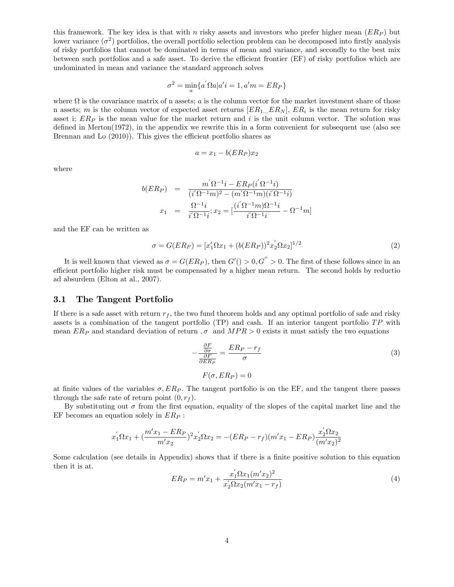this framework. The key idea is that with n risky assets and investors who prefer higher mean  $(ER_P)$  but lower variance  $(\sigma^2)$  portfolios, the overall portfolio selection problem can be decomposed into firstly analysis of risky portfolios that cannot be dominated in terms of mean and variance, and secondly to the best mix between such portfolios and a safe asset. To derive the efficient frontier (EF) of risky portfolios which are undominated in mean and variance the standard approach solves

$$
\sigma^2 = \min_a \{ a' \Omega a | a' i = 1, a' m = E R_P \}
$$

where  $\Omega$  is the covariance matrix of n assets; a is the column vector for the market investment share of those n assets; m is the column vector of expected asset returns  $[ER_{1...}ER_N]$ ,  $ER_i$  is the mean return for risky asset i;  $ER<sub>P</sub>$  is the mean value for the market return and i is the unit column vector. The solution was defined in Merton $(1972)$ , in the appendix we rewrite this in a form convenient for subsequent use (also see Brennan and Lo  $(2010)$ ). This gives the efficient portfolio shares as

$$
a = x_1 - b(ER_P)x_2
$$

where

$$
b(ER_P) = \frac{m'\Omega^{-1}i - ER_P(i'\Omega^{-1}i)}{(i'\Omega^{-1}m)^2 - (m'\Omega^{-1}m)(i'\Omega^{-1}i)}
$$
  

$$
x_1 = \frac{\Omega^{-1}i}{i'\Omega^{-1}i}; x_2 = \left[\frac{(i'\Omega^{-1}m)\Omega^{-1}i}{i'\Omega^{-1}i} - \Omega^{-1}m\right]
$$

and the EF can be written as

$$
\sigma = G(ER_P) = [x_1'\Omega x_1 + (b(ER_P))^2 x_2' \Omega x_2]^{1/2}
$$
\n(2)

It is well known that viewed as  $\sigma = G(ER_P)$ , then  $G'( ) > 0, G'' > 0$ . The first of these follows since in an efficient portfolio higher risk must be compensated by a higher mean return. The second holds by reduction ad absurdem (Elton at al., 2007).

### 3.1 The Tangent Portfolio

If there is a safe asset with return  $r_f$ , the two fund theorem holds and any optimal portfolio of safe and risky assets is a combination of the tangent portfolio  $(TP)$  and cash. If an interior tangent portfolio  $TP$  with mean  $ER_P$  and standard deviation of return  $, \sigma$  and  $MPR > 0$  exists it must satisfy the two equations

$$
-\frac{\frac{\partial F}{\partial \sigma}}{\frac{\partial F}{\partial ER_P}} = \frac{ER_P - r_f}{\sigma}
$$
\n
$$
F(\sigma, ER_P) = 0
$$
\n(3)

at finite values of the variables  $\sigma$ ,  $ER_P$ . The tangent portfolio is on the EF, and the tangent there passes through the safe rate of return point  $(0, r_f)$ .

By substituting out  $\sigma$  from the first equation, equality of the slopes of the capital market line and the EF becomes an equation solely in  $ER_P$ :

$$
x_1^{'}\Omega x_1 + \left(\frac{m'x_1 - ER_P}{m'x_2}\right)^2 x_2^{'}\Omega x_2 = -(ER_P - r_f)(m'x_1 - ER_P)\frac{x_2^{'}\Omega x_2}{(m'x_2)^2}
$$

Some calculation (see details in Appendix) shows that if there is a finite positive solution to this equation then it is at.

$$
ER_P = m'x_1 + \frac{x_1'\Omega x_1(m'x_2)^2}{x_2'\Omega x_2(m'x_1 - r_f)}
$$
\n<sup>(4)</sup>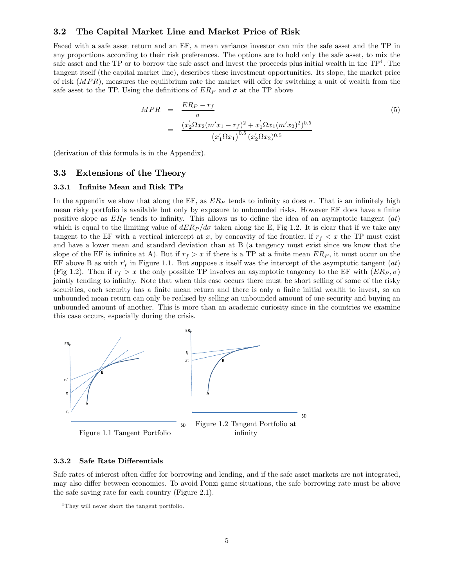### 3.2 The Capital Market Line and Market Price of Risk

Faced with a safe asset return and an EF, a mean variance investor can mix the safe asset and the TP in any proportions according to their risk preferences. The options are to hold only the safe asset, to mix the safe asset and the TP or to borrow the safe asset and invest the proceeds plus initial wealth in the  $TP<sup>4</sup>$ . The tangent itself (the capital market line), describes these investment opportunities. Its slope, the market price of risk  $(MPR)$ , measures the equilibrium rate the market will offer for switching a unit of wealth from the safe asset to the TP. Using the definitions of  $ER_P$  and  $\sigma$  at the TP above

$$
MPR = \frac{ER_P - r_f}{\sigma}
$$
  
= 
$$
\frac{(x_2' \Omega x_2 (m'x_1 - r_f)^2 + x_1' \Omega x_1 (m'x_2)^2)^{0.5}}{(x_1' \Omega x_1)^{0.5} (x_2' \Omega x_2)^{0.5}}
$$
 (5)

(derivation of this formula is in the Appendix).

### 3.3 Extensions of the Theory

### 3.3.1 InÖnite Mean and Risk TPs

In the appendix we show that along the EF, as  $ER_P$  tends to infinity so does  $\sigma$ . That is an infinitely high mean risky portfolio is available but only by exposure to unbounded risks. However EF does have a finite positive slope as  $ER_P$  tends to infinity. This allows us to define the idea of an asymptotic tangent  $(at)$ which is equal to the limiting value of  $dE R_P/d\sigma$  taken along the E, Fig 1.2. It is clear that if we take any tangent to the EF with a vertical intercept at x, by concavity of the frontier, if  $r_f < x$  the TP must exist and have a lower mean and standard deviation than at B (a tangency must exist since we know that the slope of the EF is infinite at A). But if  $r_f > x$  if there is a TP at a finite mean  $ER_P$ , it must occur on the EF above B as with  $r'_f$  in Figure 1.1. But suppose x itself was the intercept of the asymptotic tangent  $(at)$ (Fig 1.2). Then if  $r_f > x$  the only possible TP involves an asymptotic tangency to the EF with  $(ER_P, \sigma)$ jointly tending to infinity. Note that when this case occurs there must be short selling of some of the risky securities, each security has a finite mean return and there is only a finite initial wealth to invest, so an unbounded mean return can only be realised by selling an unbounded amount of one security and buying an unbounded amount of another. This is more than an academic curiosity since in the countries we examine this case occurs, especially during the crisis.



#### 3.3.2 Safe Rate Differentials

Safe rates of interest often differ for borrowing and lending, and if the safe asset markets are not integrated, may also differ between economies. To avoid Ponzi game situations, the safe borrowing rate must be above the safe saving rate for each country (Figure 2.1).

<sup>4</sup> They will never short the tangent portfolio.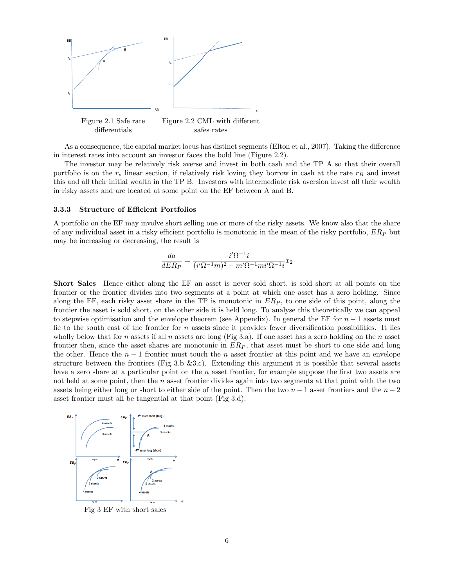

As a consequence, the capital market locus has distinct segments (Elton et al., 2007). Taking the difference in interest rates into account an investor faces the bold line (Figure 2.2).

The investor may be relatively risk averse and invest in both cash and the TP A so that their overall portfolio is on the  $r_s$  linear section, if relatively risk loving they borrow in cash at the rate  $r_B$  and invest this and all their initial wealth in the TP B. Investors with intermediate risk aversion invest all their wealth in risky assets and are located at some point on the EF between A and B.

#### 3.3.3 Structure of Efficient Portfolios

A portfolio on the EF may involve short selling one or more of the risky assets. We know also that the share of any individual asset in a risky efficient portfolio is monotonic in the mean of the risky portfolio,  $ER_P$  but may be increasing or decreasing, the result is

$$
\frac{da}{dER_P} = \frac{i'\Omega^{-1}i}{(i'\Omega^{-1}m)^2 - m'\Omega^{-1}mi'\Omega^{-1}i}x_2
$$

Short Sales Hence either along the EF an asset is never sold short, is sold short at all points on the frontier or the frontier divides into two segments at a point at which one asset has a zero holding. Since along the EF, each risky asset share in the TP is monotonic in  $ER<sub>P</sub>$ , to one side of this point, along the frontier the asset is sold short, on the other side it is held long. To analyse this theoretically we can appeal to stepwise optimisation and the envelope theorem (see Appendix). In general the EF for  $n-1$  assets must lie to the south east of the frontier for n assets since it provides fewer diversification possibilities. It lies wholly below that for n assets if all n assets are long (Fig 3.a). If one asset has a zero holding on the n asset frontier then, since the asset shares are monotonic in  $ER<sub>P</sub>$ , that asset must be short to one side and long the other. Hence the  $n-1$  frontier must touch the n asset frontier at this point and we have an envelope structure between the frontiers (Fig 3.b  $&3.c$ ). Extending this argument it is possible that several assets have a zero share at a particular point on the  $n$  asset frontier, for example suppose the first two assets are not held at some point, then the n asset frontier divides again into two segments at that point with the two assets being either long or short to either side of the point. Then the two  $n-1$  asset frontiers and the  $n-2$ asset frontier must all be tangential at that point (Fig 3.d).



Fig 3 EF with short sales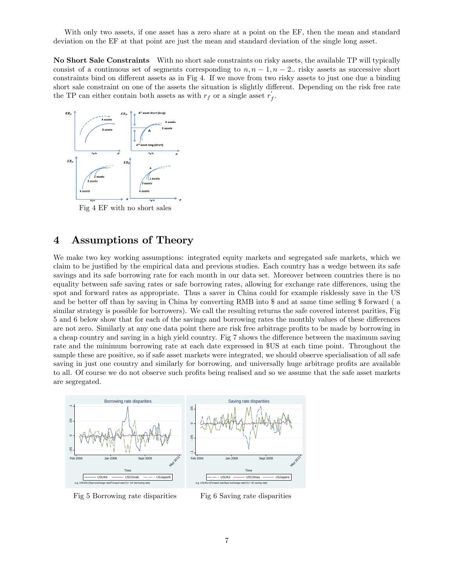With only two assets, if one asset has a zero share at a point on the EF, then the mean and standard deviation on the EF at that point are just the mean and standard deviation of the single long asset.

No Short Sale Constraints With no short sale constraints on risky assets, the available TP will typically consist of a continuous set of segments corresponding to  $n, n - 1, n - 2$ . risky assets as successive short constraints bind on different assets as in Fig 4. If we move from two risky assets to just one due a binding short sale constraint on one of the assets the situation is slightly different. Depending on the risk free rate the TP can either contain both assets as with  $r_f$  or a single asset  $r'_f$ .



Fig 4 EF with no short sales

# 4 Assumptions of Theory

We make two key working assumptions: integrated equity markets and segregated safe markets, which we claim to be justified by the empirical data and previous studies. Each country has a wedge between its safe savings and its safe borrowing rate for each month in our data set. Moreover between countries there is no equality between safe saving rates or safe borrowing rates, allowing for exchange rate differences, using the spot and forward rates as appropriate. Thus a saver in China could for example risklessly save in the US and be better off than by saving in China by converting RMB into \$ and at same time selling \$ forward ( a similar strategy is possible for borrowers). We call the resulting returns the safe covered interest parities, Fig 5 and 6 below show that for each of the savings and borrowing rates the monthly values of these differences are not zero. Similarly at any one data point there are risk free arbitrage profits to be made by borrowing in a cheap country and saving in a high yield country. Fig 7 shows the difference between the maximum saving rate and the minimum borrowing rate at each date expressed in \$US at each time point. Throughout the sample these are positive, so if safe asset markets were integrated, we should observe specialisation of all safe saving in just one country and similarly for borrowing, and universally huge arbitrage profits are available to all. Of course we do not observe such profits being realised and so we assume that the safe asset markets are segregated.



Fig 5 Borrowing rate disparities

Fig 6 Saving rate disparities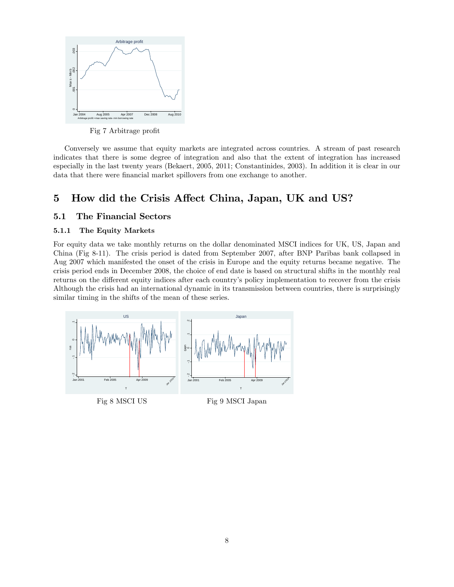

Fig 7 Arbitrage profit

Conversely we assume that equity markets are integrated across countries. A stream of past research indicates that there is some degree of integration and also that the extent of integration has increased especially in the last twenty years (Bekaert, 2005, 2011; Constantinides, 2003). In addition it is clear in our data that there were financial market spillovers from one exchange to another.

# 5 How did the Crisis Affect China, Japan, UK and US?

### 5.1 The Financial Sectors

### 5.1.1 The Equity Markets

For equity data we take monthly returns on the dollar denominated MSCI indices for UK, US, Japan and China (Fig 8-11). The crisis period is dated from September 2007, after BNP Paribas bank collapsed in Aug 2007 which manifested the onset of the crisis in Europe and the equity returns became negative. The crisis period ends in December 2008, the choice of end date is based on structural shifts in the monthly real returns on the different equity indices after each country's policy implementation to recover from the crisis Although the crisis had an international dynamic in its transmission between countries, there is surprisingly similar timing in the shifts of the mean of these series.



Fig 8 MSCI US

Fig 9 MSCI Japan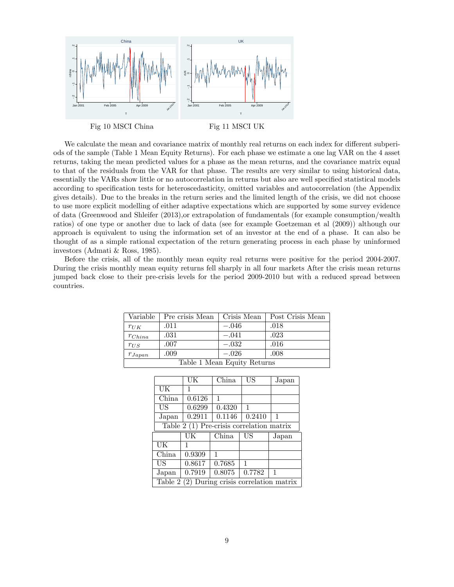

We calculate the mean and covariance matrix of monthly real returns on each index for different subperiods of the sample (Table 1 Mean Equity Returns). For each phase we estimate a one lag VAR on the 4 asset returns, taking the mean predicted values for a phase as the mean returns, and the covariance matrix equal to that of the residuals from the VAR for that phase. The results are very similar to using historical data, essentially the VARs show little or no autocorrelation in returns but also are well specified statistical models according to specification tests for heteroscedasticity, omitted variables and autocorrelation (the Appendix gives details). Due to the breaks in the return series and the limited length of the crisis, we did not choose to use more explicit modelling of either adaptive expectations which are supported by some survey evidence of data (Greenwood and Shleifer (2013),or extrapolation of fundamentals (for example consumption/wealth ratios) of one type or another due to lack of data (see for example Goetzeman et al (2009)) although our approach is equivalent to using the information set of an investor at the end of a phase. It can also be thought of as a simple rational expectation of the return generating process in each phase by uninformed investors (Admati & Ross, 1985).

Before the crisis, all of the monthly mean equity real returns were positive for the period 2004-2007. During the crisis monthly mean equity returns fell sharply in all four markets After the crisis mean returns jumped back close to their pre-crisis levels for the period 2009-2010 but with a reduced spread between countries.

| Variable                    | Pre crisis Mean | Crisis Mean | Post Crisis Mean |  |  |  |  |
|-----------------------------|-----------------|-------------|------------------|--|--|--|--|
| $r_{UK}$                    | .011            | $-.046$     | .018             |  |  |  |  |
| $r_{China}$                 | .031            | $-.041$     | .023             |  |  |  |  |
| $r_{US}$                    | .007            | $-.032$     | .016             |  |  |  |  |
| $r_{Japan}$                 | .009            | $-.026$     | .008             |  |  |  |  |
| Table 1 Mean Equity Returns |                 |             |                  |  |  |  |  |

|       | UK                                         | China  | US     | Japan |  |  |  |  |  |
|-------|--------------------------------------------|--------|--------|-------|--|--|--|--|--|
| UK    | 1                                          |        |        |       |  |  |  |  |  |
| China | 0.6126                                     | 1      |        |       |  |  |  |  |  |
| US    | 0.6299                                     | 0.4320 | 1      |       |  |  |  |  |  |
| Japan | 0.2911                                     | 0.1146 | 0.2410 | 1     |  |  |  |  |  |
|       | Table $2(1)$ Pre-crisis correlation matrix |        |        |       |  |  |  |  |  |
|       | UK                                         | China  | US     | Japan |  |  |  |  |  |
| UК    | 1                                          |        |        |       |  |  |  |  |  |
| China | 0.9309                                     | 1      |        |       |  |  |  |  |  |
|       |                                            |        |        |       |  |  |  |  |  |
| US    | 0.8617                                     | 0.7685 | 1      |       |  |  |  |  |  |
| Japan | 0.7919                                     | 0.8075 | 0.7782 | 1     |  |  |  |  |  |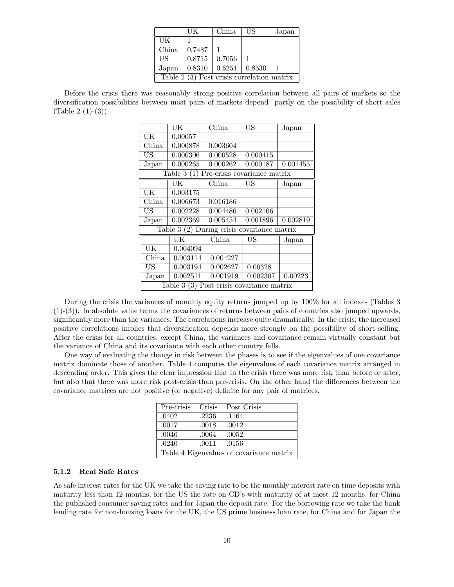|                                             | UК     | China  | US                  | Japan |  |  |  |
|---------------------------------------------|--------|--------|---------------------|-------|--|--|--|
| UK                                          |        |        |                     |       |  |  |  |
| China                                       | 0.7487 |        |                     |       |  |  |  |
| US                                          | 0.8715 | 0.7056 |                     |       |  |  |  |
| Japan                                       | 0.8310 |        | $0.6251 \pm 0.8530$ |       |  |  |  |
| Table $2(3)$ Post crisis correlation matrix |        |        |                     |       |  |  |  |

Before the crisis there was reasonably strong positive correlation between all pairs of markets so the diversification possibilities between most pairs of markets depend partly on the possibility of short sales  $(Table 2 (1)-(3)).$ 

|                        | UK                                          | China                        | US       | Japan    |
|------------------------|---------------------------------------------|------------------------------|----------|----------|
| UK                     | 0.00057                                     |                              |          |          |
| China                  | 0.000878                                    | 0.003604                     |          |          |
| US                     | 0.000306                                    | 0.000528                     | 0.000415 |          |
| Japan                  | 0.000265                                    | 0.000262                     | 0.000187 | 0.001455 |
|                        | Table $3(1)$                                | Pre-crisis covariance matrix |          |          |
|                        | UK                                          | China                        | US       | Japan    |
| UK                     | 0.003175                                    |                              |          |          |
| China                  | 0.006673                                    | 0.016186                     |          |          |
| US                     | 0.002228                                    | 0.004486                     | 0.002106 |          |
| Japan                  | 0.002369                                    | 0.005454                     | 0.001896 | 0.002819 |
|                        | Table 3 (2) During crisis covariance matrix |                              |          |          |
|                        | UK                                          | China                        | US       | Japan    |
| $\overline{\text{UK}}$ | 0.004094                                    |                              |          |          |
| China                  | 0.003114                                    | 0.004227                     |          |          |
| US                     | 0.003194                                    | 0.002627                     | 0.00328  |          |
| Japan                  | 0.002511                                    | 0.001919                     | 0.002307 | 0.00223  |
|                        | Table $3(3)$ Post crisis covariance matrix  |                              |          |          |

During the crisis the variances of monthly equity returns jumped up by 100% for all indexes (Tables 3  $(1)-(3)$ . In absolute value terms the covariances of returns between pairs of countries also jumped upwards, significantly more than the variances. The correlations increase quite dramatically. In the crisis, the increased positive correlations implies that diversification depends more strongly on the possibility of short selling. After the crisis for all countries, except China, the variances and covariance remain virtually constant but the variance of China and its covariance with each other country falls.

One way of evaluating the change in risk between the phases is to see if the eigenvalues of one covariance matrix dominate those of another. Table 4 computes the eigenvalues of each covariance matrix arranged in descending order. This gives the clear impression that in the crisis there was more risk than before or after, but also that there was more risk post-crisis than pre-crisis. On the other hand the differences between the covariance matrices are not positive (or negative) definite for any pair of matrices.

| Pre-crisis                               | Crisis | Post Crisis |  |  |  |  |
|------------------------------------------|--------|-------------|--|--|--|--|
| .0402                                    | .2236  | .1164       |  |  |  |  |
| .0017                                    | .0018  | .0012       |  |  |  |  |
| .0046                                    | .0064  | .0052       |  |  |  |  |
| .0240                                    | .0011  | .0156       |  |  |  |  |
| Table 4 Eigenvalues of covariance matrix |        |             |  |  |  |  |

#### 5.1.2 Real Safe Rates

As safe interest rates for the UK we take the saving rate to be the monthly interest rate on time deposits with maturity less than 12 months, for the US the rate on CD's with maturity of at most 12 months, for China the published consumer saving rates and for Japan the deposit rate. For the borrowing rate we take the bank lending rate for non-housing loans for the UK, the US prime business loan rate, for China and for Japan the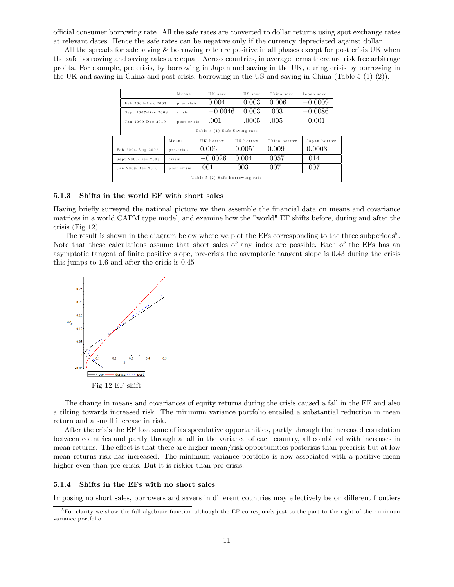o¢ cial consumer borrowing rate. All the safe rates are converted to dollar returns using spot exchange rates at relevant dates. Hence the safe rates can be negative only if the currency depreciated against dollar.

All the spreads for safe saving & borrowing rate are positive in all phases except for post crisis UK when the safe borrowing and saving rates are equal. Across countries, in average terms there are risk free arbitrage proÖts. For example, pre crisis, by borrowing in Japan and saving in the UK, during crisis by borrowing in the UK and saving in China and post crisis, borrowing in the US and saving in China (Table  $5(1)-(2)$ ).

|                   |                                  | Means       |            |           | US save<br>UK save |                  | China save   | Japan save   |  |
|-------------------|----------------------------------|-------------|------------|-----------|--------------------|------------------|--------------|--------------|--|
|                   | Feb 2004-Aug 2007                |             | pre-crisis |           | 0.004              |                  | 0.006        | $-0.0009$    |  |
|                   | crisis<br>Sept 2007-Dec 2008     |             |            | $-0.0046$ |                    | 0.003            | .003         | $-0.0086$    |  |
|                   | Jan 2009-Dec 2010<br>post crisis |             |            | .001      |                    | .0005            | .005         | $-0.001$     |  |
|                   | Table 5 (1) Safe Saving rate     |             |            |           |                    |                  |              |              |  |
|                   | Means                            |             |            | UK borrow |                    | US borrow        | China borrow | Japan borrow |  |
|                   | Feb 2004-Aug 2007                | pre-crisis  | 0.006      |           | 0.0051             |                  | 0.009        | 0.0003       |  |
|                   | crisis<br>Sept 2007-Dec 2008     |             | $-0.0026$  |           | 0.004              |                  | .0057        | .014         |  |
| Jan 2009-Dec 2010 |                                  | post crisis |            | .001      |                    | $.003\,$<br>.007 |              | .007         |  |
|                   | Table 5 (2) Safe Borrowing rate  |             |            |           |                    |                  |              |              |  |

#### 5.1.3 Shifts in the world EF with short sales

Having briefly surveyed the national picture we then assemble the financial data on means and covariance matrices in a world CAPM type model, and examine how the "world" EF shifts before, during and after the crisis (Fig 12).

The result is shown in the diagram below where we plot the EFs corresponding to the three subperiods<sup>5</sup>. Note that these calculations assume that short sales of any index are possible. Each of the EFs has an asymptotic tangent of Önite positive slope, pre-crisis the asymptotic tangent slope is 0:43 during the crisis this jumps to 1.6 and after the crisis is 0:45



The change in means and covariances of equity returns during the crisis caused a fall in the EF and also a tilting towards increased risk. The minimum variance portfolio entailed a substantial reduction in mean return and a small increase in risk.

After the crisis the EF lost some of its speculative opportunities, partly through the increased correlation between countries and partly through a fall in the variance of each country, all combined with increases in mean returns. The effect is that there are higher mean/risk opportunities postcrisis than precrisis but at low mean returns risk has increased. The minimum variance portfolio is now associated with a positive mean higher even than pre-crisis. But it is riskier than pre-crisis.

#### 5.1.4 Shifts in the EFs with no short sales

Imposing no short sales, borrowers and savers in different countries may effectively be on different frontiers

<sup>&</sup>lt;sup>5</sup>For clarity we show the full algebraic function although the EF corresponds just to the part to the right of the minimum variance portfolio.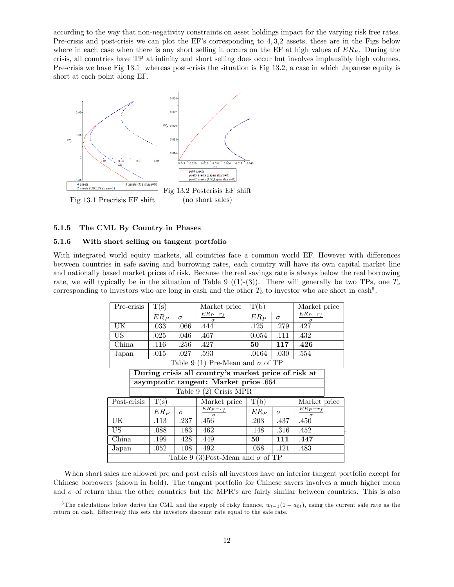according to the way that non-negativity constraints on asset holdings impact for the varying risk free rates. Pre-crisis and post-crisis we can plot the EF's corresponding to 4,3,2 assets, these are in the Figs below where in each case when there is any short selling it occurs on the EF at high values of  $ER_P$ . During the crisis, all countries have TP at inÖnity and short selling does occur but involves implausibly high volumes. Pre-crisis we have Fig 13.1 whereas post-crisis the situation is Fig 13.2, a case in which Japanese equity is short at each point along EF.



#### 5.1.5 The CML By Country in Phases

#### 5.1.6 With short selling on tangent portfolio

With integrated world equity markets, all countries face a common world EF. However with differences between countries in safe saving and borrowing rates, each country will have its own capital market line and nationally based market prices of risk. Because the real savings rate is always below the real borrowing rate, we will typically be in the situation of Table 9 ((1)-(3)). There will generally be two TPs, one  $T_s$ corresponding to investors who are long in cash and the other  $T_b$  to investor who are short in cash<sup>6</sup>.

|                       | Pre-crisis<br>T(s)                                  |        | Market price | T(b)                                    |        | Market price |                            |  |  |
|-----------------------|-----------------------------------------------------|--------|--------------|-----------------------------------------|--------|--------------|----------------------------|--|--|
|                       |                                                     | $ER_P$ | $\sigma$     | $ER_P-r_f$<br>$\sigma$                  | $ER_P$ | $\sigma$     | $ER_{P}-r_{f}$<br>$\sigma$ |  |  |
| UK                    |                                                     | .033   | .066         | .444                                    | .125   | .279         | .427                       |  |  |
| US                    |                                                     | .025   | .046         | .467                                    | 0.054  | .111         | .432                       |  |  |
| China                 |                                                     | .116   | .256         | .427                                    | 50     | 117          | .426                       |  |  |
| Japan                 |                                                     | .015   | .027         | .593                                    | .0164  | .030         | .554                       |  |  |
|                       |                                                     |        |              | Table 9 (1) Pre-Mean and $\sigma$ of TP |        |              |                            |  |  |
|                       | During crisis all country's market price of risk at |        |              |                                         |        |              |                            |  |  |
|                       |                                                     |        |              | asymptotic tangent: Market price .664   |        |              |                            |  |  |
|                       |                                                     |        |              | Table $9(2)$ Crisis MPR                 |        |              |                            |  |  |
| Post-crisis           |                                                     | T(s)   |              | Market price                            | T(b)   |              | Market price               |  |  |
|                       |                                                     | $ER_P$ | $\sigma$     | $ER_P-r_f$                              | $ER_P$ | $\sigma$     | $ER_{P}-r_{f}$<br>$\sigma$ |  |  |
| UK                    | .113<br>.237                                        |        | .456         | .203                                    | .437   | .450         |                            |  |  |
| <b>US</b>             | .088<br>.183                                        |        | .462         | .148                                    | .316   | .452         |                            |  |  |
| China<br>.199<br>.428 |                                                     | .449   | 50           | 111                                     | .447   |              |                            |  |  |
| .052<br>.108<br>Japan |                                                     | .492   | .058         | .121                                    | .483   |              |                            |  |  |
|                       | Table 9 (3) Post-Mean and $\sigma$ of TP            |        |              |                                         |        |              |                            |  |  |

When short sales are allowed pre and post crisis all investors have an interior tangent portfolio except for Chinese borrowers (shown in bold). The tangent portfolio for Chinese savers involves a much higher mean and  $\sigma$  of return than the other countries but the MPR's are fairly similar between countries. This is also

<sup>&</sup>lt;sup>6</sup>The calculations below derive the CML and the supply of risky finance,  $w_{t-1}(1 - a_{0t})$ , using the current safe rate as the return on cash. Effectively this sets the investors discount rate equal to the safe rate.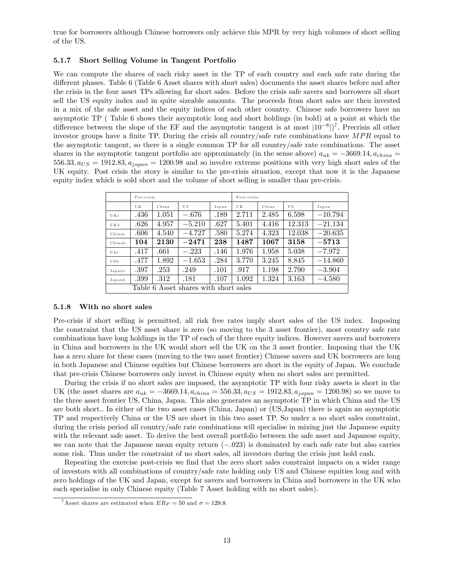true for borrowers although Chinese borrowers only achieve this MPR by very high volumes of short selling of the US.

#### 5.1.7 Short Selling Volume in Tangent Portfolio

We can compute the shares of each risky asset in the TP of each country and each safe rate during the different phases. Table 6 (Table 6 Asset shares with short sales) documents the asset shares before and after the crisis in the four asset TPs allowing for short sales. Before the crisis safe savers and borrowers all short sell the US equity index and in quite sizeable amounts. The proceeds from short sales are then invested in a mix of the safe asset and the equity indices of each other country. Chinese safe borrowers have an asymptotic TP ( Table 6 shows their asymptotic long and short holdings (in bold) at a point at which the difference between the slope of the EF and the asymptotic tangent is at most  $|10^{-8}|$ <sup>7</sup>. Precrisis all other investor groups have a finite TP. During the crisis all country/safe rate combinations have  $MPR$  equal to the asymptotic tangent, so there is a single common TP for all country/safe rate combinations. The asset shares in the asymptotic tangent portfolio are approximately (in the sense above)  $a_{uk} = -3669.14, a_{china} =$  $556.33, a_{US} = 1912.83, a_{japan} = 1200.98$  and so involve extreme positions with very high short sales of the UK equity. Post crisis the story is similar to the pre-crisis situation, except that now it is the Japanese equity index which is sold short and the volume of short selling is smaller than pre-crisis.

|                 | Pre-crisis |       |                                       |       | Post-crisis |       |        |           |  |
|-----------------|------------|-------|---------------------------------------|-------|-------------|-------|--------|-----------|--|
|                 | U K        | China | US.                                   | Japan | U K         | China | U.S.   | Japan     |  |
| UK <sub>s</sub> | .436       | 1.051 | $-.676$                               | .189  | 2.711       | 2.485 | 6.598  | $-10.794$ |  |
| UKb             | .626       | 4.957 | $-5.210$                              | .627  | 5.401       | 4.416 | 12.313 | $-21.134$ |  |
| Chinas          | .606       | 4.540 | $-4.727$                              | .580  | 5.274       | 4.323 | 12.038 | $-20.635$ |  |
| Chinab          | 104        | 2130  | $-2471$                               | 238   | 1487        | 1067  | 3158   | $-5713$   |  |
| USs             | .417       | .661  | $-.223$                               | .146  | 1.976       | 1.958 | 5.038  | $-7.972$  |  |
| USb             | .477       | 1.892 | $-1.653$                              | .284  | 3.770       | 3.245 | 8.845  | $-14.860$ |  |
| Japans          | .397       | .253  | .249                                  | .101  | .917        | 1.198 | 2.790  | $-3.904$  |  |
| Japanb          | .399       | .312  | .181                                  | .107  | 1.092       | 1.324 | 3.163  | $-4.580$  |  |
|                 |            |       | Table 6 Asset shares with short sales |       |             |       |        |           |  |

#### 5.1.8 With no short sales

Pre-crisis if short selling is permitted, all risk free rates imply short sales of the US index. Imposing the constraint that the US asset share is zero (so moving to the 3 asset frontier), most country safe rate combinations have long holdings in the TP of each of the three equity indices. However savers and borrowers in China and borrowers in the UK would short sell the UK on the 3 asset frontier. Imposing that the UK has a zero share for these cases (moving to the two asset frontier) Chinese savers and UK borrowers are long in both Japanese and Chinese equities but Chinese borrowers are short in the equity of Japan. We conclude that pre-crisis Chinese borrowers only invest in Chinese equity when no short sales are permitted.

During the crisis if no short sales are imposed, the asymptotic TP with four risky assets is short in the UK (the asset shares are  $a_{uk} = -3669.14, a_{china} = 556.33, a_{US} = 1912.83, a_{japan} = 1200.98$ ) so we move to the three asset frontier US, China, Japan. This also generates an asymptotic TP in which China and the US are both short.: In either of the two asset cases (China, Japan) or (US,Japan) there is again an asymptotic TP and respectively China or the US are short in this two asset TP. So under a no short sales constraint, during the crisis period all country/safe rate combinations will specialise in mixing just the Japanese equity with the relevant safe asset. To derive the best overall portfolio between the safe asset and Japanese equity, we can note that the Japanese mean equity return  $(-.023)$  is dominated by each safe rate but also carries some risk. Thus under the constraint of no short sales, all investors during the crisis just hold cash.

Repeating the exercise post-crisis we find that the zero short sales constraint impacts on a wider range of investors with all combinations of country/safe rate holding only US and Chinese equities long and with zero holdings of the UK and Japan, except for savers and borrowers in China and borrowers in the UK who each specialise in only Chinese equity (Table 7 Asset holding with no short sales).

<sup>&</sup>lt;sup>7</sup>Asset shares are estimated when  $ER_P = 50$  and  $\sigma = 129.8$ .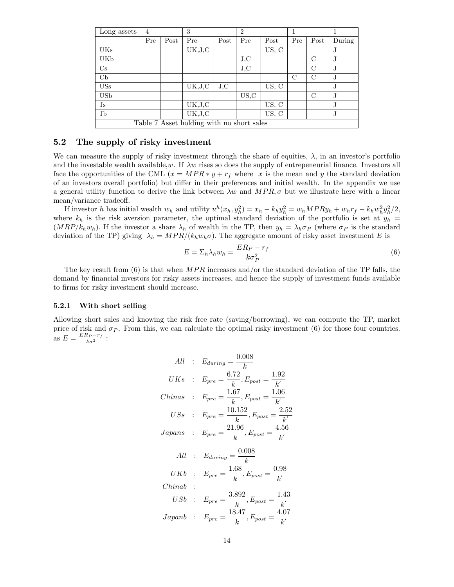| Long assets   | $\overline{4}$ |      | 3                                         |      | $\overline{2}$ |       |               |               |        |
|---------------|----------------|------|-------------------------------------------|------|----------------|-------|---------------|---------------|--------|
|               | Pre            | Post | Pre                                       | Post | Pre            | Post  | Pre           | Post          | During |
| UKs           |                |      | UK, J, C                                  |      |                | US, C |               |               | J.     |
| UKb           |                |      |                                           |      | J.C            |       |               | $\mathcal{C}$ | J.     |
| $\mathrm{Cs}$ |                |      |                                           |      | J.C            |       |               | $\mathcal{C}$ | J.     |
| $\mathrm{Cb}$ |                |      |                                           |      |                |       | $\mathcal{C}$ | $\mathcal{C}$ | J      |
| <b>USs</b>    |                |      | UK,J,C                                    | J.C  |                | US, C |               |               | J.     |
| USb           |                |      |                                           |      | US, C          |       |               | $\rm C$       | J.     |
| $\rm{Js}$     |                |      | UK, J, C                                  |      |                | US, C |               |               | J.     |
| Jb            |                |      | UK, J, C                                  |      |                | US, C |               |               | J.     |
|               |                |      | Table 7 Asset holding with no short sales |      |                |       |               |               |        |

### 5.2 The supply of risky investment

We can measure the supply of risky investment through the share of equities,  $\lambda$ , in an investor's portfolio and the investable wealth available,w. If  $\lambda w$  rises so does the supply of entrepeneurial finance. Investors all face the opportunities of the CML  $(x = MPR * y + r_f)$  where x is the mean and y the standard deviation of an investors overall portfolio) but differ in their preferences and initial wealth. In the appendix we use a general utility function to derive the link between  $\lambda w$  and  $MPR, \sigma$  but we illustrate here with a linear mean/variance tradeoff.

If investor h has initial wealth  $w_h$  and utility  $u^h(x_h, y_h^2) = x_h - k_h y_h^2 = w_h MPRy_h + w_hr_f - k_h w_h^2 y_h^2/2$ , where  $k_h$  is the risk aversion parameter, the optimal standard deviation of the portfolio is set at  $y_h$  =  $(MRP/k_hw_h)$ . If the investor a share  $\lambda_h$  of wealth in the TP, then  $y_h = \lambda_h\sigma_P$  (where  $\sigma_P$  is the standard deviation of the TP) giving  $\lambda_h = MPR/(k_h w_h \sigma)$ . The aggregate amount of risky asset investment E is

$$
E = \sum_{h} \lambda_h w_h = \frac{ER_P - r_f}{k\sigma_P^2} \tag{6}
$$

The key result from  $(6)$  is that when  $MPR$  increases and/or the standard deviation of the TP falls, the demand by financial investors for risky assets increases, and hence the supply of investment funds available to firms for risky investment should increase.

#### 5.2.1 With short selling

Allowing short sales and knowing the risk free rate (saving/borrowing), we can compute the TP, market price of risk and  $\sigma_P$ . From this, we can calculate the optimal risky investment (6) for those four countries. as  $E = \frac{ER_P - r_f}{k\sigma^2}$ :

$$
All : E_{during} = \frac{0.008}{k}
$$
  
\n
$$
UKs : E_{pre} = \frac{6.72}{k}, E_{post} = \frac{1.92}{k'}
$$
  
\n
$$
Chinas : E_{pre} = \frac{1.67}{k}, E_{post} = \frac{1.06}{k'}
$$
  
\n
$$
USs : E_{pre} = \frac{10.152}{k}, E_{post} = \frac{2.52}{k'}
$$
  
\n
$$
Japans : E_{pre} = \frac{21.96}{k}, E_{post} = \frac{4.56}{k'}
$$
  
\n
$$
All : E_{during} = \frac{0.008}{k}
$$
  
\n
$$
UKb : E_{pre} = \frac{1.68}{k}, E_{post} = \frac{0.98}{k'}
$$
  
\n
$$
Chinab : E_{pre} = \frac{3.892}{k}, E_{post} = \frac{1.43}{k'}
$$
  
\n
$$
Japanb : E_{pre} = \frac{18.47}{k}, E_{post} = \frac{4.07}{k'}
$$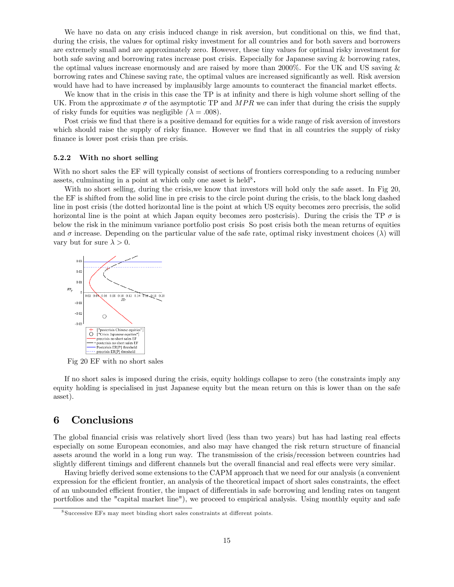We have no data on any crisis induced change in risk aversion, but conditional on this, we find that, during the crisis, the values for optimal risky investment for all countries and for both savers and borrowers are extremely small and are approximately zero. However, these tiny values for optimal risky investment for both safe saving and borrowing rates increase post crisis. Especially for Japanese saving & borrowing rates, the optimal values increase enormously and are raised by more than 2000%. For the UK and US saving & borrowing rates and Chinese saving rate, the optimal values are increased significantly as well. Risk aversion would have had to have increased by implausibly large amounts to counteract the financial market effects.

We know that in the crisis in this case the TP is at infinity and there is high volume short selling of the UK. From the approximate  $\sigma$  of the asymptotic TP and MPR we can infer that during the crisis the supply of risky funds for equities was negligible  $(\lambda = .008)$ .

Post crisis we find that there is a positive demand for equities for a wide range of risk aversion of investors which should raise the supply of risky finance. However we find that in all countries the supply of risky finance is lower post crisis than pre crisis.

#### 5.2.2 With no short selling

With no short sales the EF will typically consist of sections of frontiers corresponding to a reducing number assets, culminating in a point at which only one asset is held<sup>8</sup>.

With no short selling, during the crisis, we know that investors will hold only the safe asset. In Fig 20, the EF is shifted from the solid line in pre crisis to the circle point during the crisis, to the black long dashed line in post crisis (the dotted horizontal line is the point at which US equity becomes zero precrisis, the solid horizontal line is the point at which Japan equity becomes zero postcrisis). During the crisis the TP  $\sigma$  is below the risk in the minimum variance portfolio post crisis So post crisis both the mean returns of equities and  $\sigma$  increase. Depending on the particular value of the safe rate, optimal risky investment choices ( $\lambda$ ) will vary but for sure  $\lambda > 0$ .



Fig 20 EF with no short sales

If no short sales is imposed during the crisis, equity holdings collapse to zero (the constraints imply any equity holding is specialised in just Japanese equity but the mean return on this is lower than on the safe asset).

# 6 Conclusions

The global financial crisis was relatively short lived (less than two years) but has had lasting real effects especially on some European economies, and also may have changed the risk return structure of financial assets around the world in a long run way. The transmission of the crisis/recession between countries had slightly different timings and different channels but the overall financial and real effects were very similar.

Having briefly derived some extensions to the CAPM approach that we need for our analysis (a convenient expression for the efficient frontier, an analysis of the theoretical impact of short sales constraints, the effect of an unbounded efficient frontier, the impact of differentials in safe borrowing and lending rates on tangent portfolios and the "capital market line"), we proceed to empirical analysis. Using monthly equity and safe

<sup>&</sup>lt;sup>8</sup> Successive EFs may meet binding short sales constraints at different points.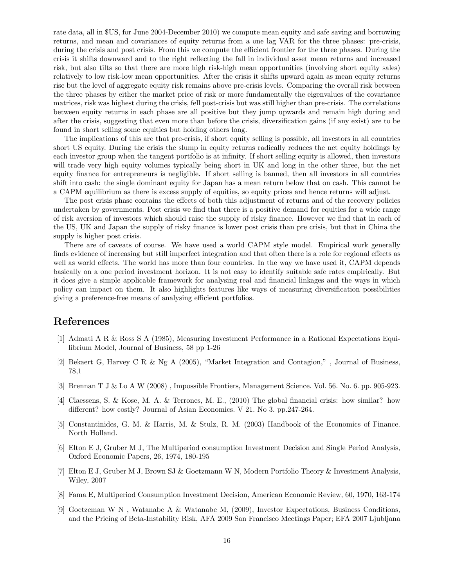rate data, all in \$US, for June 2004-December 2010) we compute mean equity and safe saving and borrowing returns, and mean and covariances of equity returns from a one lag VAR for the three phases: pre-crisis, during the crisis and post crisis. From this we compute the efficient frontier for the three phases. During the crisis it shifts downward and to the right reflecting the fall in individual asset mean returns and increased risk, but also tilts so that there are more high risk-high mean opportunities (involving short equity sales) relatively to low risk-low mean opportunities. After the crisis it shifts upward again as mean equity returns rise but the level of aggregate equity risk remains above pre-crisis levels. Comparing the overall risk between the three phases by either the market price of risk or more fundamentally the eigenvalues of the covariance matrices, risk was highest during the crisis, fell post-crisis but was still higher than pre-crisis. The correlations between equity returns in each phase are all positive but they jump upwards and remain high during and after the crisis, suggesting that even more than before the crisis, diversification gains (if any exist) are to be found in short selling some equities but holding others long.

The implications of this are that pre-crisis, if short equity selling is possible, all investors in all countries short US equity. During the crisis the slump in equity returns radically reduces the net equity holdings by each investor group when the tangent portfolio is at infinity. If short selling equity is allowed, then investors will trade very high equity volumes typically being short in UK and long in the other three, but the net equity finance for entrepreneurs is negligible. If short selling is banned, then all investors in all countries shift into cash: the single dominant equity for Japan has a mean return below that on cash. This cannot be a CAPM equilibrium as there is excess supply of equities, so equity prices and hence returns will adjust.

The post crisis phase contains the effects of both this adjustment of returns and of the recovery policies undertaken by governments. Post crisis we find that there is a positive demand for equities for a wide range of risk aversion of investors which should raise the supply of risky finance. However we find that in each of the US, UK and Japan the supply of risky Önance is lower post crisis than pre crisis, but that in China the supply is higher post crisis.

There are of caveats of course. We have used a world CAPM style model. Empirical work generally finds evidence of increasing but still imperfect integration and that often there is a role for regional effects as well as world effects. The world has more than four countries. In the way we have used it, CAPM depends basically on a one period investment horizon. It is not easy to identify suitable safe rates empirically. But it does give a simple applicable framework for analysing real and Önancial linkages and the ways in which policy can impact on them. It also highlights features like ways of measuring diversification possibilities giving a preference-free means of analysing efficient portfolios.

# References

- [1] Admati A R & Ross S A (1985), Measuring Investment Performance in a Rational Expectations Equilibrium Model, Journal of Business, 58 pp 1-26
- [2] Bekaert G, Harvey C R & Ng A (2005), "Market Integration and Contagion,", Journal of Business, 78,1
- [3] Brennan T J & Lo A W (2008) , Impossible Frontiers, Management Science. Vol. 56. No. 6. pp. 905-923.
- [4] Claessens, S. & Kose, M. A. & Terrones, M. E., (2010) The global Önancial crisis: how similar? how different? how costly? Journal of Asian Economics. V 21. No 3. pp.247-264.
- [5] Constantinides, G. M. & Harris, M. & Stulz, R. M. (2003) Handbook of the Economics of Finance. North Holland.
- [6] Elton E J, Gruber M J, The Multiperiod consumption Investment Decision and Single Period Analysis, Oxford Economic Papers, 26, 1974, 180-195
- [7] Elton E J, Gruber M J, Brown SJ & Goetzmann W N, Modern Portfolio Theory & Investment Analysis, Wiley, 2007
- [8] Fama E, Multiperiod Consumption Investment Decision, American Economic Review, 60, 1970, 163-174
- [9] Goetzeman W N , Watanabe A & Watanabe M, (2009), Investor Expectations, Business Conditions, and the Pricing of Beta-Instability Risk, AFA 2009 San Francisco Meetings Paper; EFA 2007 Ljubljana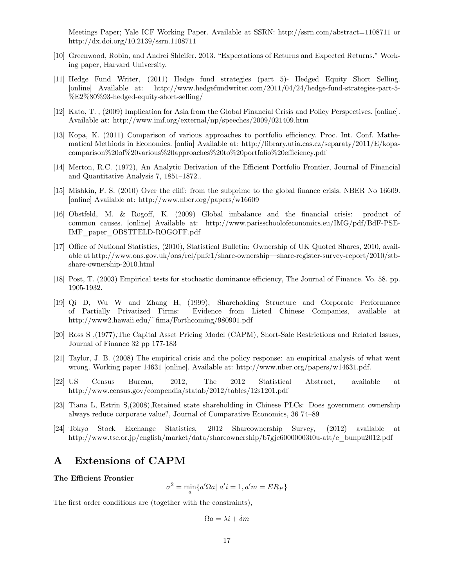Meetings Paper; Yale ICF Working Paper. Available at SSRN: http://ssrn.com/abstract=1108711 or http://dx.doi.org/10.2139/ssrn.1108711

- [10] Greenwood, Robin, and Andrei Shleifer. 2013. "Expectations of Returns and Expected Returns." Working paper, Harvard University.
- [11] Hedge Fund Writer, (2011) Hedge fund strategies (part 5)- Hedged Equity Short Selling. [online] Available at: http://www.hedgefundwriter.com/2011/04/24/hedge-fund-strategies-part-5- %E2%80%93-hedged-equity-short-selling/
- [12] Kato, T. , (2009) Implication for Asia from the Global Financial Crisis and Policy Perspectives. [online]. Available at: http://www.imf.org/external/np/speeches/2009/021409.htm
- [13] Kopa, K. (2011) Comparison of various approaches to portfolio efficiency. Proc. Int. Conf. Mathematical Methiods in Economics. [onlin] Available at: http://library.utia.cas.cz/separaty/2011/E/kopacomparison%20of%20various%20approaches%20to%20portfolio%20efficiency.pdf
- [14] Merton, R.C. (1972), An Analytic Derivation of the Efficient Portfolio Frontier, Journal of Financial and Quantitative Analysis  $7, 1851-1872$ ...
- [15] Mishkin, F. S. (2010) Over the cliff: from the subprime to the global finance crisis. NBER No 16609. [online] Available at: http://www.nber.org/papers/w16609
- [16] Obstfeld, M. & Rogo§, K. (2009) Global imbalance and the Önancial crisis: product of common causes. [online] Available at: http://www.parisschoolofeconomics.eu/IMG/pdf/BdF-PSE-IMF\_paper\_OBSTFELD-ROGOFF.pdf
- [17] Office of National Statistics, (2010), Statistical Bulletin: Ownership of UK Quoted Shares, 2010, available at http://www.ons.gov.uk/ons/rel/pnfc1/share-ownership—share-register-survey-report/2010/stbshare-ownership-2010.html
- [18] Post, T. (2003) Empirical tests for stochastic dominance efficiency, The Journal of Finance. Vo. 58. pp. 1905-1932.
- [19] Qi D, Wu W and Zhang H, (1999), Shareholding Structure and Corporate Performance of Partially Privatized Firms: Evidence from Listed Chinese Companies, available at http://www2.hawaii.edu/~Öma/Forthcoming/980901.pdf
- [20] Ross S ,(1977),The Capital Asset Pricing Model (CAPM), Short-Sale Restrictions and Related Issues, Journal of Finance 32 pp 177-183
- [21] Taylor, J. B. (2008) The empirical crisis and the policy response: an empirical analysis of what went wrong. Working paper 14631 [online]. Available at: http://www.nber.org/papers/w14631.pdf.
- [22] US Census Bureau, 2012, The 2012 Statistical Abstract, available at http://www.census.gov/compendia/statab/2012/tables/12s1201.pdf
- [23] Tiana L, Estrin S,(2008),Retained state shareholding in Chinese PLCs: Does government ownership always reduce corporate value?, Journal of Comparative Economics, 36 74–89
- [24] Tokyo Stock Exchange Statistics, 2012 Shareownership Survey, (2012) available at http://www.tse.or.jp/english/market/data/shareownership/b7gje60000003t0u-att/e\_bunpu2012.pdf

# A Extensions of CAPM

#### The Efficient Frontier

 $\sigma^2 = \min_a \{ a' \Omega a | \ a' i = 1, a' m = E R_P \}$ 

The first order conditions are (together with the constraints),

$$
\Omega a = \lambda i + \delta m
$$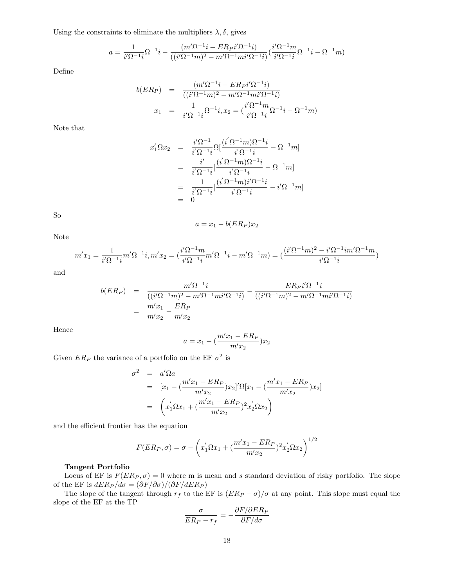Using the constraints to eliminate the multipliers  $\lambda, \delta$ , gives

$$
a = \frac{1}{i'\Omega^{-1}i} \Omega^{-1}i - \frac{(m'\Omega^{-1}i - ER_{P}i'\Omega^{-1}i)}{((i'\Omega^{-1}m)^{2} - m'\Omega^{-1}mi'\Omega^{-1}i)} \left(\frac{i'\Omega^{-1}m}{i'\Omega^{-1}i} \Omega^{-1}i - \Omega^{-1}m\right)
$$

Define

$$
b(ER_P) = \frac{(m'\Omega^{-1}i - ER_Pi'\Omega^{-1}i)}{((i'\Omega^{-1}m)^2 - m'\Omega^{-1}mi'\Omega^{-1}i)}
$$
  

$$
x_1 = \frac{1}{i'\Omega^{-1}i}\Omega^{-1}i, x_2 = \left(\frac{i'\Omega^{-1}m}{i'\Omega^{-1}i}\Omega^{-1}i - \Omega^{-1}m\right)
$$

Note that

$$
x'_1 \Omega x_2 = \frac{i' \Omega^{-1}}{i' \Omega^{-1} i} \Omega \left[ \frac{(i' \Omega^{-1} m) \Omega^{-1} i}{i' \Omega^{-1} i} - \Omega^{-1} m \right]
$$
  
= 
$$
\frac{i'}{i' \Omega^{-1} i} \left[ \frac{(i' \Omega^{-1} m) \Omega^{-1} i}{i' \Omega^{-1} i} - \Omega^{-1} m \right]
$$
  
= 
$$
\frac{1}{i' \Omega^{-1} i} \left[ \frac{(i' \Omega^{-1} m) i' \Omega^{-1} i}{i' \Omega^{-1} i} - i' \Omega^{-1} m \right]
$$
  
= 0

So

$$
a = x_1 - b(ER_P)x_2
$$

Note

$$
m'x_1 = \frac{1}{i'\Omega^{-1}i}m'\Omega^{-1}i, m'x_2 = \left(\frac{i'\Omega^{-1}m}{i'\Omega^{-1}i}m'\Omega^{-1}i - m'\Omega^{-1}m\right) = \left(\frac{(i'\Omega^{-1}m)^2 - i'\Omega^{-1}im'\Omega^{-1}m}{i'\Omega^{-1}i}\right)
$$

and

$$
b(ER_P) = \frac{m'\Omega^{-1}i}{((i'\Omega^{-1}m)^2 - m'\Omega^{-1}mi'\Omega^{-1}i)} - \frac{ER_Pi'\Omega^{-1}i}{((i'\Omega^{-1}m)^2 - m'\Omega^{-1}mi'\Omega^{-1}i)}
$$
  
= 
$$
\frac{m'x_1}{m'x_2} - \frac{ER_P}{m'x_2}
$$

Hence

$$
a = x_1 - (\frac{m'x_1 - ER_P}{m'x_2})x_2
$$

Given  $ER_P$  the variance of a portfolio on the EF  $\sigma^2$  is

$$
\sigma^2 = a'\Omega a
$$
  
=  $[x_1 - (\frac{m'x_1 - ER_P}{m'x_2})x_2]' \Omega[x_1 - (\frac{m'x_1 - ER_P}{m'x_2})x_2]$   
=  $(x'_1 \Omega x_1 + (\frac{m'x_1 - ER_P}{m'x_2})^2 x'_2 \Omega x_2)$ 

and the efficient frontier has the equation

$$
F(ER_P, \sigma) = \sigma - \left(x_1' \Omega x_1 + \left(\frac{m'x_1 - ER_P}{m'x_2}\right)^2 x_2' \Omega x_2\right)^{1/2}
$$

### Tangent Portfolio

Locus of EF is  $F(ER_P, \sigma) = 0$  where m is mean and s standard deviation of risky portfolio. The slope of the EF is  $dER_P/d\sigma = (\partial F/\partial \sigma)/(\partial F/dER_P)$ 

The slope of the tangent through  $r_f$  to the EF is  $(ER_P - \sigma)/\sigma$  at any point. This slope must equal the slope of the EF at the TP

$$
\frac{\sigma}{ER_P - r_f} = -\frac{\partial F/\partial ER_P}{\partial F/d\sigma}
$$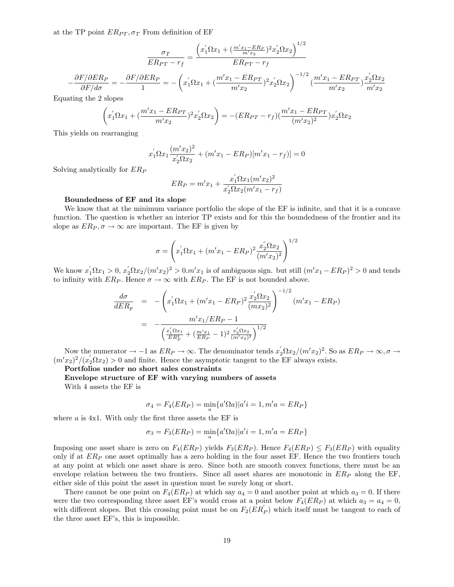at the TP point  $ER_{PT}, \sigma_T$  From definition of EF

$$
\frac{\sigma_T}{ER_{PT} - r_f} = \frac{\left(x_1' \Omega x_1 + \left(\frac{m'x_1 - ER_P}{m'x_2}\right)^2 x_2' \Omega x_2\right)^{1/2}}{ER_{PT} - r_f}
$$

$$
-\frac{\partial F/\partial ER_P}{\partial F/d\sigma} = -\frac{\partial F/\partial ER_P}{1} = -\left(x_1' \Omega x_1 + \left(\frac{m'x_1 - ER_{PT}}{m'x_2}\right)^2 x_2' \Omega x_2\right)^{-1/2} \left(\frac{m'x_1 - ER_{PT}}{m'x_2}\right) \frac{x_2' \Omega x_2}{m'x_2}
$$

 $1/0$ 

Equating the 2 slopes

$$
\left(x_1' \Omega x_1 + \left(\frac{m'x_1 - ER_{PT}}{m'x_2}\right)^2 x_2' \Omega x_2\right) = -(ER_{PT} - r_f)\left(\frac{m'x_1 - ER_{PT}}{(m'x_2)^2}\right) x_2' \Omega x_2
$$

This yields on rearranging

$$
x_1^{'}\Omega x_1 \frac{(m'x_2)^2}{x_2^{'}\Omega x_2} + (m'x_1 - ER_P)[m'x_1 - r_f)] = 0
$$

Solving analytically for  $ER_P$ 

$$
ER_P = m'x_1 + \frac{x'_1 \Omega x_1 (m'x_2)^2}{x'_2 \Omega x_2 (m'x_1 - r_f)}
$$

#### Boundedness of EF and its slope

We know that at the minimum variance portfolio the slope of the EF is infinite, and that it is a concave function. The question is whether an interior TP exists and for this the boundedness of the frontier and its slope as  $ER_P, \sigma \to \infty$  are important. The EF is given by

$$
\sigma = \left(x_1' \Omega x_1 + (m'x_1 - ER_P)^2 \frac{x_2' \Omega x_2}{(m'x_2)^2}\right)^{1/2}
$$

We know  $x_1 \Omega x_1 > 0$ ,  $x_2 \Omega x_2/(m'x_2)^2 > 0$ .  $m'x_1$  is of ambiguous sign. but still  $(m'x_1 - ER_P)^2 > 0$  and tends to infinity with  $ER_P$ . Hence  $\sigma \to \infty$  with  $ER_P$ . The EF is not bounded above.

$$
\frac{d\sigma}{dER_p} = -\left(x_1' \Omega x_1 + (m'x_1 - ER_P)^2 \frac{x_2' \Omega x_2}{(mx_2)^2}\right)^{-1/2} (m'x_1 - ER_P)
$$

$$
= -\frac{m'x_1/ER_P - 1}{\left(\frac{x_1' \Omega x_1}{ER_P^2} + (\frac{m'x_1}{ER_P} - 1)^2 \frac{x_2' \Omega x_2}{(m'x_2)^2}\right)^{1/2}}
$$

Now the numerator  $\rightarrow -1$  as  $ER_P \rightarrow \infty$ . The denominator tends  $x_2 \Omega x_2/(m'x_2)^2$ . So as  $ER_P \rightarrow \infty$ ,  $\sigma \rightarrow$  $(m'x_2)^2/(x_2' \Omega x_2) > 0$  and finite. Hence the asymptotic tangent to the EF always exists.

Portfolios under no short sales constraints

Envelope structure of EF with varying numbers of assets

With 4 assets the EF is

$$
\sigma_4 = F_4(ER_P) = \min_a \{a' \Omega a | a' = 1, m' = ER_P\}
$$

where  $a$  is  $4x1$ . With only the first three assets the EF is

$$
\sigma_3 = F_3(ER_P) = \min_a \{a'\Omega a \mid a'i = 1, m'a = ER_P\}
$$

Imposing one asset share is zero on  $F_4(ER_P)$  yields  $F_3(ER_P)$ . Hence  $F_4(ER_P) \leq F_3(ER_P)$  with equality only if at  $ER_P$  one asset optimally has a zero holding in the four asset EF. Hence the two frontiers touch at any point at which one asset share is zero. Since both are smooth convex functions, there must be an envelope relation between the two frontiers. Since all asset shares are monotonic in  $ER<sub>P</sub>$  along the EF, either side of this point the asset in question must be surely long or short.

There cannot be one point on  $F_4(ER_P)$  at which say  $a_4 = 0$  and another point at which  $a_3 = 0$ . If there were the two corresponding three asset EF's would cross at a point below  $F_4(ER_P)$  at which  $a_3 = a_4 = 0$ , with different slopes. But this crossing point must be on  $F_2(ER_P')$  which itself must be tangent to each of the three asset EF's, this is impossible.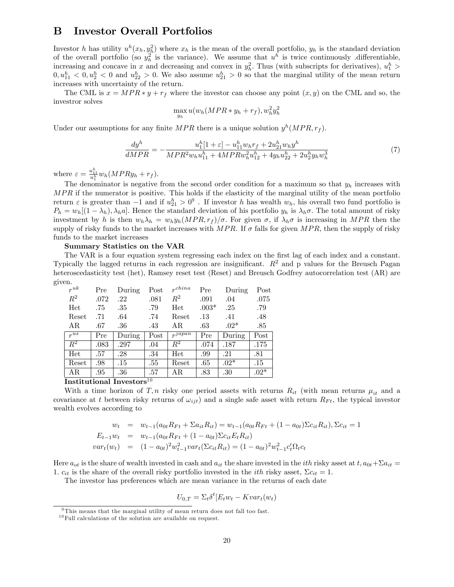## B Investor Overall Portfolios

Investor h has utility  $u^h(x_h, y_h^2)$  where  $x_h$  is the mean of the overall portfolio,  $y_h$  is the standard deviation of the overall portfolio (so  $y_h^2$  is the variance). We assume that  $u^h$  is twice continuously differentiable, increasing and concave in x and decreasing and convex in  $y<sub>h</sub><sup>2</sup>$ . Thus (with subscripts for derivatives),  $u_1<sup>h</sup>$  >  $0, u_{11}^h < 0, u_2^h < 0$  and  $u_{22}^h > 0$ . We also assume  $u_{21}^h > 0$  so that the marginal utility of the mean return increases with uncertainty of the return.

The CML is  $x = MPR * y + r_f$  where the investor can choose any point  $(x, y)$  on the CML and so, the investror solves

$$
\max_{y_h} u(w_h(MPR*y_h+r_f), w_h^2y_h^2)
$$

Under our assumptions for any finite  $MPR$  there is a unique solution  $y^h(MPR, r_f)$ .

$$
\frac{dy^h}{dMPR} = -\frac{u_1^h[1+\varepsilon] - u_{11}^h w_h r_f + 2u_{21}^h w_h y^h}{MPR^2 w_h u_{11}^h + 4MPR w_h^2 u_{12}^h + 4y_h u_{22}^h + 2u_2^h y_h w_h^3}
$$
\n<sup>(7)</sup>

where  $\varepsilon = \frac{u_{11}^h}{u_1^h} w_h (MPRy_h + r_f)$ .

The denominator is negative from the second order condition for a maximum so that  $y_h$  increases with  $MPR$  if the numerator is positive. This holds if the elasticity of the marginal utility of the mean portfolio return  $\varepsilon$  is greater than  $-1$  and if  $u_{21}^h > 0^9$ . If investor h has wealth  $w_h$ , his overall two fund portfolio is  $P_h = w_h[(1 - \lambda_h), \lambda_h a]$ . Hence the standard deviation of his portfolio  $y_h$  is  $\lambda_h \sigma$ . The total amount of risky investment by h is then  $w_h \lambda_h = w_h y_h (MPR, r_f)/\sigma$ . For given  $\sigma$ , if  $\lambda_h \sigma$  is increasing in MPR then the supply of risky funds to the market increases with  $MPR$ . If  $\sigma$  falls for given  $MPR$ , then the supply of risky funds to the market increases

#### Summary Statistics on the VAR

The VAR is a four equation system regressing each index on the first lag of each index and a constant. Typically the lagged returns in each regression are insignificant.  $R<sup>2</sup>$  and p values for the Breusch Pagan heteroscedasticity test (het), Ramsey reset test (Reset) and Breusch Godfrey autocorrelation test (AR) are given.

| $r^{uk}$         | Pre        | During | Post                  | $r^{china}$            | Pre     | During | Post   |
|------------------|------------|--------|-----------------------|------------------------|---------|--------|--------|
| $R^2$            | .072       | .22    | .081                  | $\,R^2$                | .091    | .04    | .075   |
| Het              | .75        | .35    | .79                   | Het                    | $.003*$ | .25    | .79    |
| Reset            | .71        | .64    | .74                   | Reset                  | .13     | .41    | .48    |
| AR               | .67        | .36    | .43                   | AR.                    | .63     | $.02*$ | .85    |
| $r^{us}$         | Pre        | During | Post                  | $r^{japa\overline{n}}$ | Pre     | During | Post   |
| $\overline{R^2}$ | .083       | .297   | .04                   | $\overline{R^2}$       | .074    | .187   | .175   |
| Het              | .57        | .28    | .34                   | Het                    | .99     | .21    | .81    |
| Reset            | .98        | .15    | .55                   | Reset                  | .65     | $.02*$ | .15    |
| ΑR               | .95<br>$-$ | .36    | .57<br>1 <sub>0</sub> | AR.                    | .83     | .30    | $.02*$ |

Institutional Investors<sup>10</sup>

With a time horizon of T, n risky one period assets with returns  $R_{it}$  (with mean returns  $\mu_{it}$  and a covariance at t between risky returns of  $\omega_{ijt}$ ) and a single safe asset with return  $R_{Ft}$ , the typical investor wealth evolves according to

$$
w_t = w_{t-1}(a_{0t}R_{Ft} + \Sigma a_{it}R_{it}) = w_{t-1}(a_{0t}R_{Ft} + (1 - a_{0t})\Sigma c_{it}R_{it}), \Sigma c_{it} = 1
$$
  
\n
$$
E_{t-1}w_t = w_{t-1}(a_{0t}R_{Ft} + (1 - a_{0t})\Sigma c_{it}E_tR_{it})
$$
  
\n
$$
var_t(w_t) = (1 - a_{0t})^2w_{t-1}^2var_t(\Sigma c_{it}R_{it}) = (1 - a_{0t})^2w_{t-1}^2c_t'\Omega_t c_t
$$

Here  $a_{ot}$  is the share of wealth invested in cash and  $a_{it}$  the share invested in the *ith* risky asset at  $t, a_{0t} + \Sigma a_{it} =$ 1.  $c_{it}$  is the share of the overall risky portfolio invested in the *i*th risky asset,  $\Sigma c_{it} = 1$ .

The investor has preferences which are mean variance in the returns of each date

$$
U_{0,T} = \Sigma_t \delta^t [E_t w_t - Kvar_t(w_t)]
$$

<sup>&</sup>lt;sup>9</sup>This means that the marginal utility of mean return does not fall too fast.

 $^{10}\mathrm{Full}$  calculations of the solution are available on request.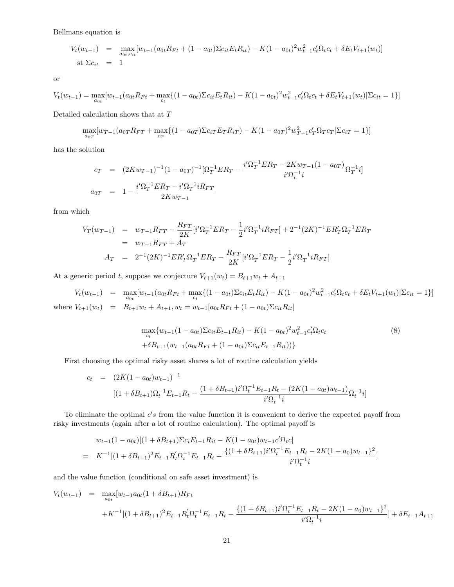Bellmans equation is

$$
V_t(w_{t-1}) = \max_{a_{0t}, c_{it}} [w_{t-1}(a_{0t}R_{Ft} + (1 - a_{0t})\Sigma c_{it}E_tR_{it}) - K(1 - a_{0t})^2 w_{t-1}^2 c_t' \Omega_t c_t + \delta E_t V_{t+1}(w_t)]
$$
  
st  $\Sigma c_{it} = 1$ 

or

$$
V_t(w_{t-1}) = \max_{a_{0t}} [w_{t-1}(a_{0t}R_{Ft} + \max_{c_t} \{(1 - a_{0t})\Sigma c_{it}E_t R_{it}) - K(1 - a_{0t})^2 w_{t-1}^2 c_t' \Omega_t c_t + \delta E_t V_{t+1}(w_t) | \Sigma c_{it} = 1 \}]
$$

Detailed calculation shows that at  $\cal T$ 

$$
\max_{a_{0T}} [w_{T-1}(a_{0T}R_{FT} + \max_{c_T} \{(1 - a_{0T})\Sigma c_{iT}E_T R_{iT}) - K(1 - a_{0T})^2 w_{T-1}^2 c_T^2 \Omega_T c_T | \Sigma c_{iT} = 1 \}]
$$

has the solution

$$
c_T = (2Kw_{T-1})^{-1}(1 - a_{0T})^{-1}[\Omega_T^{-1}ER_T - \frac{i'\Omega_T^{-1}ER_T - 2Kw_{T-1}(1 - a_{0T})}{i'\Omega_t^{-1}i}\Omega_T^{-1}i]
$$
  

$$
a_{0T} = 1 - \frac{i'\Omega_T^{-1}ER_T - i'\Omega_T^{-1}iR_{FT}}{2Kw_{T-1}}
$$

from which

$$
V_T(w_{T-1}) = w_{T-1}R_{FT} - \frac{R_{FT}}{2K}[i'\Omega_T^{-1}ER_T - \frac{1}{2}i'\Omega_T^{-1}iR_{FT}] + 2^{-1}(2K)^{-1}ER_T'\Omega_T^{-1}ER_T
$$
  
\n
$$
= w_{T-1}R_{FT} + A_T
$$
  
\n
$$
A_T = 2^{-1}(2K)^{-1}ER_T'\Omega_T^{-1}ER_T - \frac{R_{FT}}{2K}[i'\Omega_T^{-1}ER_T - \frac{1}{2}i'\Omega_T^{-1}iR_{FT}]
$$

At a generic period t, suppose we conjecture  $V_{t+1}(w_t) = B_{t+1}w_t + A_{t+1}$ 

 $V_t(w_{t-1})$  =  $\max_{a_{0t}} [w_{t-1}(a_{0t}R_{Ft} + \max_{c_t} \{ (1 - a_{0t})\Sigma c_{it}E_tR_{it}) - K(1 - a_{0t})^2w_{t-1}^2c_t'\Omega_t c_t + \delta E_tV_{t+1}(w_t)|\Sigma c_{it} = 1 \}]$ where  $V_{t+1}(w_t) = B_{t+1}w_t + A_{t+1}, w_t = w_{t-1}[a_{0t}R_{Ft} + (1 - a_{0t})\Sigma c_{it}R_{it}]$ 

$$
\max_{c_t} \{ w_{t-1} (1 - a_{0t}) \Sigma c_{it} E_{t-1} R_{it}) - K (1 - a_{0t})^2 w_{t-1}^2 c_t' \Omega_t c_t + \delta B_{t+1} (w_{t-1} (a_{0t} R_{Ft} + (1 - a_{0t}) \Sigma c_{it} E_{t-1} R_{it})) \}
$$
\n
$$
(8)
$$

First choosing the optimal risky asset shares a lot of routine calculation yields

$$
c_t = (2K(1 - a_{0t})w_{t-1})^{-1}
$$
  
\n
$$
[(1 + \delta B_{t+1})\Omega_t^{-1}E_{t-1}R_t - \frac{(1 + \delta B_{t+1})i'\Omega_t^{-1}E_{t-1}R_t - (2K(1 - a_{0t})w_{t-1})}{i'\Omega_t^{-1}i}\Omega_t^{-1}i]
$$

To eliminate the optimal  $c's$  from the value function it is convenient to derive the expected payoff from risky investments (again after a lot of routine calculation). The optimal payoff is

$$
w_{t-1}(1-a_{0t})[(1+\delta B_{t+1})\Sigma c_i E_{t-1}R_{it} - K(1-a_{0t})w_{t-1}c'\Omega_t c]
$$
  
= 
$$
K^{-1}[(1+\delta B_{t+1})^2 E_{t-1}R_t'\Omega_t^{-1} E_{t-1}R_t - \frac{\{(1+\delta B_{t+1})i'\Omega_t^{-1}E_{t-1}R_t - 2K(1-a_0)w_{t-1}\}^2}{i'\Omega_t^{-1}i}]
$$

and the value function (conditional on safe asset investment) is

$$
V_t(w_{t-1}) = \max_{a_{0t}} [w_{t-1}a_{0t}(1+\delta B_{t+1})R_{Ft} + K^{-1}[(1+\delta B_{t+1})^2 E_{t-1}R_t \Omega_t^{-1} E_{t-1}R_t - \frac{\{(1+\delta B_{t+1})^i \Omega_t^{-1} E_{t-1}R_t - 2K(1-a_0)w_{t-1}\}^2}{i'\Omega_t^{-1}i}] + \delta E_{t-1}A_{t+1}
$$